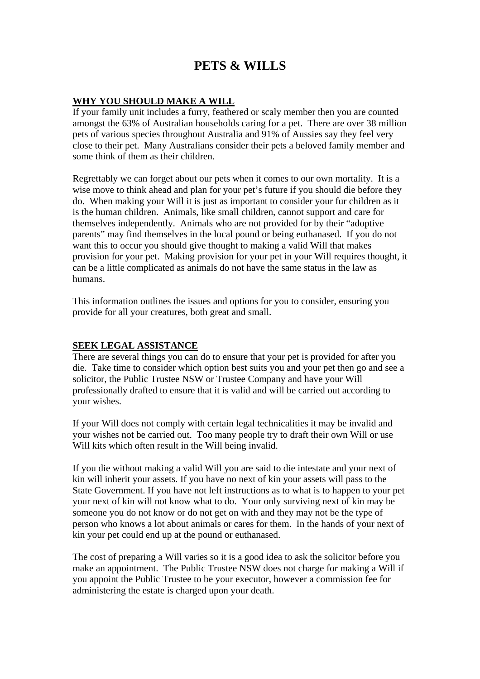# **PETS & WILLS**

# **WHY YOU SHOULD MAKE A WILL**

If your family unit includes a furry, feathered or scaly member then you are counted amongst the 63% of Australian households caring for a pet. There are over 38 million pets of various species throughout Australia and 91% of Aussies say they feel very close to their pet. Many Australians consider their pets a beloved family member and some think of them as their children.

Regrettably we can forget about our pets when it comes to our own mortality. It is a wise move to think ahead and plan for your pet's future if you should die before they do. When making your Will it is just as important to consider your fur children as it is the human children. Animals, like small children, cannot support and care for themselves independently. Animals who are not provided for by their "adoptive parents" may find themselves in the local pound or being euthanased. If you do not want this to occur you should give thought to making a valid Will that makes provision for your pet. Making provision for your pet in your Will requires thought, it can be a little complicated as animals do not have the same status in the law as humans.

This information outlines the issues and options for you to consider, ensuring you provide for all your creatures, both great and small.

# **SEEK LEGAL ASSISTANCE**

There are several things you can do to ensure that your pet is provided for after you die. Take time to consider which option best suits you and your pet then go and see a solicitor, the Public Trustee NSW or Trustee Company and have your Will professionally drafted to ensure that it is valid and will be carried out according to your wishes.

If your Will does not comply with certain legal technicalities it may be invalid and your wishes not be carried out. Too many people try to draft their own Will or use Will kits which often result in the Will being invalid.

If you die without making a valid Will you are said to die intestate and your next of kin will inherit your assets. If you have no next of kin your assets will pass to the State Government. If you have not left instructions as to what is to happen to your pet your next of kin will not know what to do. Your only surviving next of kin may be someone you do not know or do not get on with and they may not be the type of person who knows a lot about animals or cares for them. In the hands of your next of kin your pet could end up at the pound or euthanased.

The cost of preparing a Will varies so it is a good idea to ask the solicitor before you make an appointment. The Public Trustee NSW does not charge for making a Will if you appoint the Public Trustee to be your executor, however a commission fee for administering the estate is charged upon your death.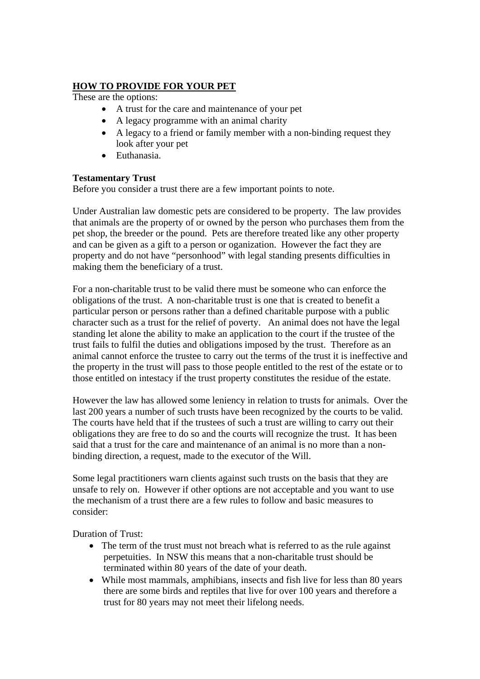## **HOW TO PROVIDE FOR YOUR PET**

These are the options:

- A trust for the care and maintenance of your pet
- A legacy programme with an animal charity
- A legacy to a friend or family member with a non-binding request they look after your pet
- Euthanasia.

## **Testamentary Trust**

Before you consider a trust there are a few important points to note.

Under Australian law domestic pets are considered to be property. The law provides that animals are the property of or owned by the person who purchases them from the pet shop, the breeder or the pound. Pets are therefore treated like any other property and can be given as a gift to a person or oganization. However the fact they are property and do not have "personhood" with legal standing presents difficulties in making them the beneficiary of a trust.

For a non-charitable trust to be valid there must be someone who can enforce the obligations of the trust. A non-charitable trust is one that is created to benefit a particular person or persons rather than a defined charitable purpose with a public character such as a trust for the relief of poverty. An animal does not have the legal standing let alone the ability to make an application to the court if the trustee of the trust fails to fulfil the duties and obligations imposed by the trust. Therefore as an animal cannot enforce the trustee to carry out the terms of the trust it is ineffective and the property in the trust will pass to those people entitled to the rest of the estate or to those entitled on intestacy if the trust property constitutes the residue of the estate.

However the law has allowed some leniency in relation to trusts for animals. Over the last 200 years a number of such trusts have been recognized by the courts to be valid. The courts have held that if the trustees of such a trust are willing to carry out their obligations they are free to do so and the courts will recognize the trust. It has been said that a trust for the care and maintenance of an animal is no more than a nonbinding direction, a request, made to the executor of the Will.

Some legal practitioners warn clients against such trusts on the basis that they are unsafe to rely on. However if other options are not acceptable and you want to use the mechanism of a trust there are a few rules to follow and basic measures to consider:

Duration of Trust:

- The term of the trust must not breach what is referred to as the rule against perpetuities. In NSW this means that a non-charitable trust should be terminated within 80 years of the date of your death.
- While most mammals, amphibians, insects and fish live for less than 80 years there are some birds and reptiles that live for over 100 years and therefore a trust for 80 years may not meet their lifelong needs.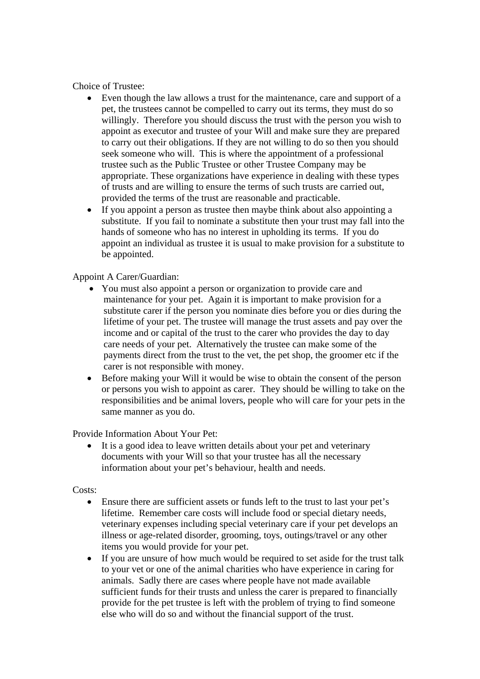Choice of Trustee:

- Even though the law allows a trust for the maintenance, care and support of a pet, the trustees cannot be compelled to carry out its terms, they must do so willingly. Therefore you should discuss the trust with the person you wish to appoint as executor and trustee of your Will and make sure they are prepared to carry out their obligations. If they are not willing to do so then you should seek someone who will. This is where the appointment of a professional trustee such as the Public Trustee or other Trustee Company may be appropriate. These organizations have experience in dealing with these types of trusts and are willing to ensure the terms of such trusts are carried out, provided the terms of the trust are reasonable and practicable.
- If you appoint a person as trustee then may be think about also appointing a substitute. If you fail to nominate a substitute then your trust may fall into the hands of someone who has no interest in upholding its terms. If you do appoint an individual as trustee it is usual to make provision for a substitute to be appointed.

Appoint A Carer/Guardian:

- You must also appoint a person or organization to provide care and maintenance for your pet. Again it is important to make provision for a substitute carer if the person you nominate dies before you or dies during the lifetime of your pet. The trustee will manage the trust assets and pay over the income and or capital of the trust to the carer who provides the day to day care needs of your pet. Alternatively the trustee can make some of the payments direct from the trust to the vet, the pet shop, the groomer etc if the carer is not responsible with money.
- Before making your Will it would be wise to obtain the consent of the person or persons you wish to appoint as carer. They should be willing to take on the responsibilities and be animal lovers, people who will care for your pets in the same manner as you do.

Provide Information About Your Pet:

It is a good idea to leave written details about your pet and veterinary documents with your Will so that your trustee has all the necessary information about your pet's behaviour, health and needs.

Costs:

- Ensure there are sufficient assets or funds left to the trust to last your pet's lifetime. Remember care costs will include food or special dietary needs, veterinary expenses including special veterinary care if your pet develops an illness or age-related disorder, grooming, toys, outings/travel or any other items you would provide for your pet.
- If you are unsure of how much would be required to set aside for the trust talk to your vet or one of the animal charities who have experience in caring for animals. Sadly there are cases where people have not made available sufficient funds for their trusts and unless the carer is prepared to financially provide for the pet trustee is left with the problem of trying to find someone else who will do so and without the financial support of the trust.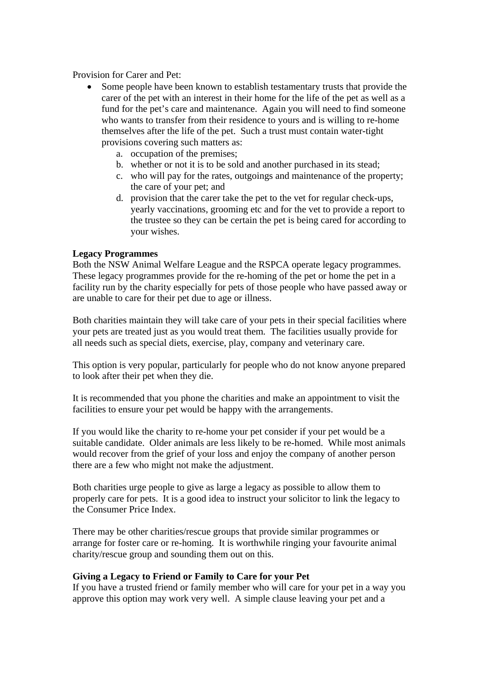Provision for Carer and Pet:

- Some people have been known to establish testamentary trusts that provide the carer of the pet with an interest in their home for the life of the pet as well as a fund for the pet's care and maintenance. Again you will need to find someone who wants to transfer from their residence to yours and is willing to re-home themselves after the life of the pet. Such a trust must contain water-tight provisions covering such matters as:
	- a. occupation of the premises;
	- b. whether or not it is to be sold and another purchased in its stead;
	- c. who will pay for the rates, outgoings and maintenance of the property; the care of your pet; and
	- d. provision that the carer take the pet to the vet for regular check-ups, yearly vaccinations, grooming etc and for the vet to provide a report to the trustee so they can be certain the pet is being cared for according to your wishes.

#### **Legacy Programmes**

Both the NSW Animal Welfare League and the RSPCA operate legacy programmes. These legacy programmes provide for the re-homing of the pet or home the pet in a facility run by the charity especially for pets of those people who have passed away or are unable to care for their pet due to age or illness.

Both charities maintain they will take care of your pets in their special facilities where your pets are treated just as you would treat them. The facilities usually provide for all needs such as special diets, exercise, play, company and veterinary care.

This option is very popular, particularly for people who do not know anyone prepared to look after their pet when they die.

It is recommended that you phone the charities and make an appointment to visit the facilities to ensure your pet would be happy with the arrangements.

If you would like the charity to re-home your pet consider if your pet would be a suitable candidate. Older animals are less likely to be re-homed. While most animals would recover from the grief of your loss and enjoy the company of another person there are a few who might not make the adjustment.

Both charities urge people to give as large a legacy as possible to allow them to properly care for pets. It is a good idea to instruct your solicitor to link the legacy to the Consumer Price Index.

There may be other charities/rescue groups that provide similar programmes or arrange for foster care or re-homing. It is worthwhile ringing your favourite animal charity/rescue group and sounding them out on this.

#### **Giving a Legacy to Friend or Family to Care for your Pet**

If you have a trusted friend or family member who will care for your pet in a way you approve this option may work very well. A simple clause leaving your pet and a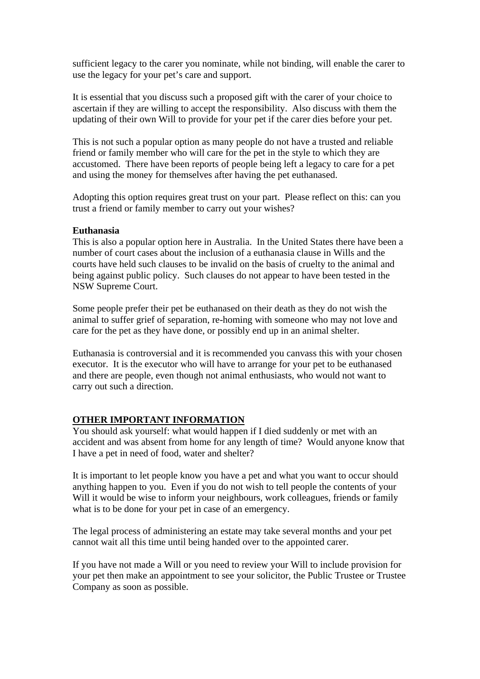sufficient legacy to the carer you nominate, while not binding, will enable the carer to use the legacy for your pet's care and support.

It is essential that you discuss such a proposed gift with the carer of your choice to ascertain if they are willing to accept the responsibility. Also discuss with them the updating of their own Will to provide for your pet if the carer dies before your pet.

This is not such a popular option as many people do not have a trusted and reliable friend or family member who will care for the pet in the style to which they are accustomed. There have been reports of people being left a legacy to care for a pet and using the money for themselves after having the pet euthanased.

Adopting this option requires great trust on your part. Please reflect on this: can you trust a friend or family member to carry out your wishes?

#### **Euthanasia**

This is also a popular option here in Australia. In the United States there have been a number of court cases about the inclusion of a euthanasia clause in Wills and the courts have held such clauses to be invalid on the basis of cruelty to the animal and being against public policy. Such clauses do not appear to have been tested in the NSW Supreme Court.

Some people prefer their pet be euthanased on their death as they do not wish the animal to suffer grief of separation, re-homing with someone who may not love and care for the pet as they have done, or possibly end up in an animal shelter.

Euthanasia is controversial and it is recommended you canvass this with your chosen executor. It is the executor who will have to arrange for your pet to be euthanased and there are people, even though not animal enthusiasts, who would not want to carry out such a direction.

#### **OTHER IMPORTANT INFORMATION**

You should ask yourself: what would happen if I died suddenly or met with an accident and was absent from home for any length of time? Would anyone know that I have a pet in need of food, water and shelter?

It is important to let people know you have a pet and what you want to occur should anything happen to you. Even if you do not wish to tell people the contents of your Will it would be wise to inform your neighbours, work colleagues, friends or family what is to be done for your pet in case of an emergency.

The legal process of administering an estate may take several months and your pet cannot wait all this time until being handed over to the appointed carer.

If you have not made a Will or you need to review your Will to include provision for your pet then make an appointment to see your solicitor, the Public Trustee or Trustee Company as soon as possible.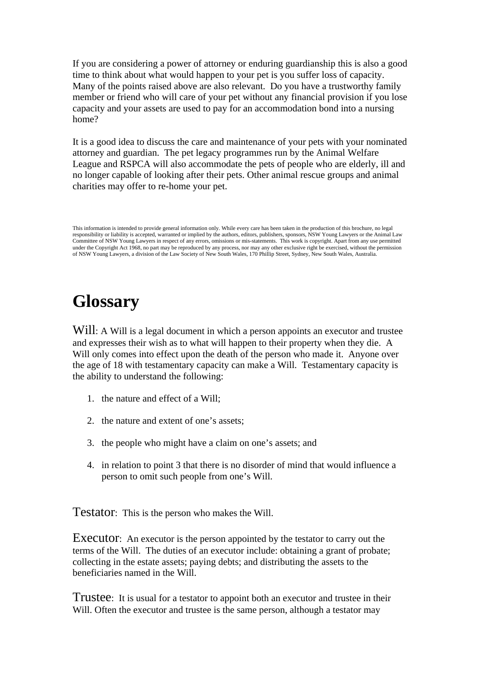If you are considering a power of attorney or enduring guardianship this is also a good time to think about what would happen to your pet is you suffer loss of capacity. Many of the points raised above are also relevant. Do you have a trustworthy family member or friend who will care of your pet without any financial provision if you lose capacity and your assets are used to pay for an accommodation bond into a nursing home?

It is a good idea to discuss the care and maintenance of your pets with your nominated attorney and guardian. The pet legacy programmes run by the Animal Welfare League and RSPCA will also accommodate the pets of people who are elderly, ill and no longer capable of looking after their pets. Other animal rescue groups and animal charities may offer to re-home your pet.

# **Glossary**

Will: A Will is a legal document in which a person appoints an executor and trustee and expresses their wish as to what will happen to their property when they die. A Will only comes into effect upon the death of the person who made it. Anyone over the age of 18 with testamentary capacity can make a Will. Testamentary capacity is the ability to understand the following:

- 1. the nature and effect of a Will;
- 2. the nature and extent of one's assets;
- 3. the people who might have a claim on one's assets; and
- 4. in relation to point 3 that there is no disorder of mind that would influence a person to omit such people from one's Will.

Testator: This is the person who makes the Will.

Executor: An executor is the person appointed by the testator to carry out the terms of the Will. The duties of an executor include: obtaining a grant of probate; collecting in the estate assets; paying debts; and distributing the assets to the beneficiaries named in the Will.

Trustee: It is usual for a testator to appoint both an executor and trustee in their Will. Often the executor and trustee is the same person, although a testator may

This information is intended to provide general information only. While every care has been taken in the production of this brochure, no legal responsibility or liability is accepted, warranted or implied by the authors, editors, publishers, sponsors, NSW Young Lawyers or the Animal Law Committee of NSW Young Lawyers in respect of any errors, omissions or mis-statements. This work is copyright. Apart from any use permitted under the Copyright Act 1968, no part may be reproduced by any process, nor may any other exclusive right be exercised, without the permission of NSW Young Lawyers, a division of the Law Society of New South Wales, 170 Phillip Street, Sydney, New South Wales, Australia.